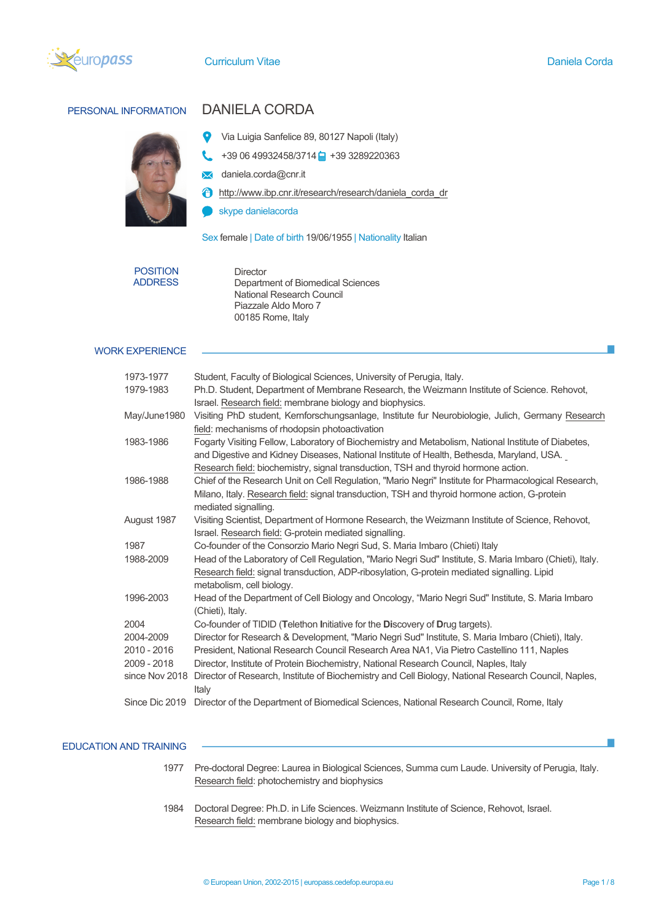

# PERSONAL INFORMATION DANIELA CORDA



- Via Luigia Sanfelice 89, 80127 Napoli (Italy) 9
- $+390649932458/3714$  +39 3289220363
- **x** daniela.corda@cnr.it
- **f** http://www.ibp.cnr.it/research/research/daniela\_corda\_dr
- skype danielacorda

Sex female | Date of birth 19/06/1955 | Nationality Italian

POSITION ADDRESS Director Department of Biomedical Sciences National Research Council Piazzale Aldo Moro 7 00185 Rome, Italy

## WORK EXPERIENCE

| 1973-1977      | Student, Faculty of Biological Sciences, University of Perugia, Italy.                                        |
|----------------|---------------------------------------------------------------------------------------------------------------|
| 1979-1983      | Ph.D. Student, Department of Membrane Research, the Weizmann Institute of Science. Rehovot,                   |
|                | Israel. Research field: membrane biology and biophysics.                                                      |
| May/June1980   | Visiting PhD student, Kemforschungsanlage, Institute fur Neurobiologie, Julich, Germany Research              |
|                | field: mechanisms of rhodopsin photoactivation                                                                |
| 1983-1986      | Fogarty Visiting Fellow, Laboratory of Biochemistry and Metabolism, National Institute of Diabetes,           |
|                | and Digestive and Kidney Diseases, National Institute of Health, Bethesda, Maryland, USA.                     |
|                | Research field: biochemistry, signal transduction, TSH and thyroid hormone action.                            |
| 1986-1988      | Chief of the Research Unit on Cell Regulation, "Mario Negri" Institute for Pharmacological Research,          |
|                | Milano, Italy. Research field: signal transduction, TSH and thyroid hormone action, G-protein                 |
|                | mediated signalling.                                                                                          |
| August 1987    | Visiting Scientist, Department of Hormone Research, the Weizmann Institute of Science, Rehovot,               |
|                | Israel. Research field: G-protein mediated signalling.                                                        |
| 1987           | Co-founder of the Consorzio Mario Negri Sud, S. Maria Imbaro (Chieti) Italy                                   |
| 1988-2009      | Head of the Laboratory of Cell Regulation, "Mario Negri Sud" Institute, S. Maria Imbaro (Chieti), Italy.      |
|                | Research field: signal transduction, ADP-ribosylation, G-protein mediated signalling. Lipid                   |
|                | metabolism, cell biology.                                                                                     |
| 1996-2003      | Head of the Department of Cell Biology and Oncology, "Mario Negri Sud" Institute, S. Maria Imbaro             |
|                | (Chieti), Italy.                                                                                              |
| 2004           | Co-founder of TIDID (Telethon Initiative for the Discovery of Drug targets).                                  |
| 2004-2009      | Director for Research & Development, "Mario Negri Sud" Institute, S. Maria Imbaro (Chieti), Italy.            |
| 2010 - 2016    | President, National Research Council Research Area NA1, Via Pietro Castellino 111, Naples                     |
| 2009 - 2018    | Director, Institute of Protein Biochemistry, National Research Council, Naples, Italy                         |
| since Nov 2018 | Director of Research, Institute of Biochemistry and Cell Biology, National Research Council, Naples,<br>Italy |
| Since Dic 2019 | Director of the Department of Biomedical Sciences, National Research Council, Rome, Italy                     |
|                |                                                                                                               |

#### EDUCATION AND TRAINING

- 1977 Pre-doctoral Degree: Laurea in Biological Sciences, Summa cum Laude. University of Perugia, Italy. Research field: photochemistry and biophysics
- 1984 Doctoral Degree: Ph.D. in Life Sciences. Weizmann Institute of Science, Rehovot, Israel. Research field: membrane biology and biophysics.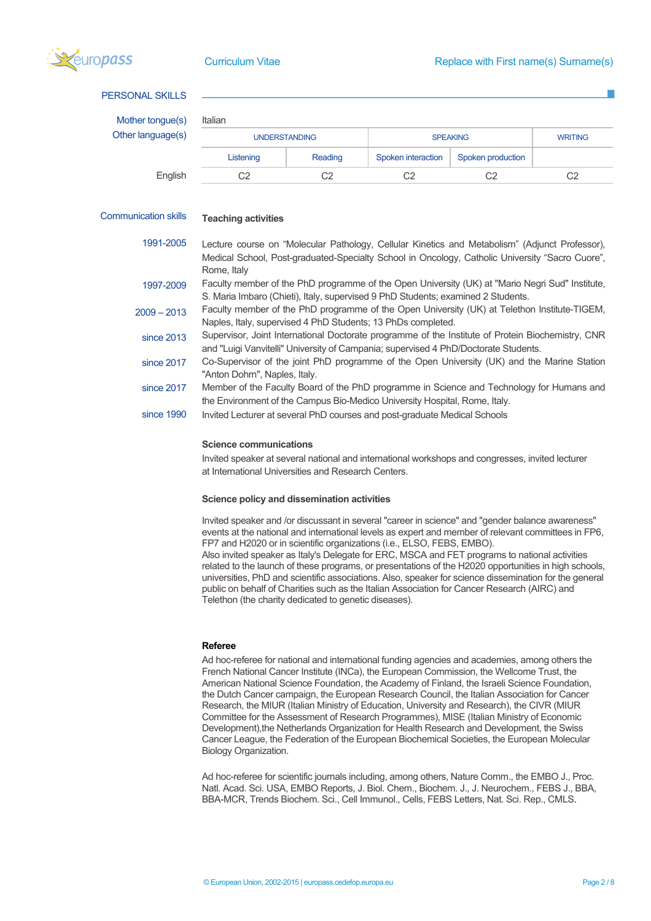

## PERSONAL SKILLS

Mother tongue Other language(

| ngue(s) | Italian              |         |                    |                   |                |  |  |
|---------|----------------------|---------|--------------------|-------------------|----------------|--|--|
| uage(s) | <b>UNDERSTANDING</b> |         | <b>SPEAKING</b>    |                   | <b>WRITING</b> |  |  |
|         | Listening            | Reading | Spoken interaction | Spoken production |                |  |  |
| English | C2                   | C2      |                    | C2                | C2             |  |  |

## Communication skills

### **Teaching activities**

1991-2005 Lecture course on "Molecular Pathology, Cellular Kinetics and Metabolism" (Adjunct Professor), Medical School, Post-graduated-Specialty School in Oncology, Catholic University "Sacro Cuore", Rome, Italy

1997-2009 Faculty member of the PhD programme of the Open University (UK) at "Mario Negri Sud" Institute, S. Maria Imbaro (Chieti), Italy, supervised 9 PhD Students; examined 2 Students.

2009 – 2013 Faculty member of the PhD programme of the Open University (UK) at Telethon Institute-TIGEM, Naples, Italy, supervised 4 PhD Students; 13 PhDs completed.

since 2013 Supervisor, Joint International Doctorate programme of the Institute of Protein Biochemistry, CNR and "Luigi Vanvitelli" University of Campania; supervised 4 PhD/Doctorate Students.

since 2017 Co-Supervisor of the joint PhD programme of the Open University (UK) and the Marine Station "Anton Dohrn", Naples, Italy.

since 2017 Member of the Faculty Board of the PhD programme in Science and Technology for Humans and the Environment of the Campus Bio-Medico University Hospital, Rome, Italy.

since 1990 Invited Lecturer at several PhD courses and post-graduate Medical Schools

#### **Science communications**

Invited speaker at several national and international workshops and congresses, invited lecturer at International Universities and Research Centers.

#### **Science policy and dissemination activities**

Invited speaker and /or discussant in several "career in science" and "gender balance awareness" events at the national and international levels as expert and member of relevant committees in FP6, FP7 and H2020 or in scientific organizations (i.e., ELSO, FEBS, EMBO). Also invited speaker as Italy's Delegate for ERC, MSCA and FET programs to national activities related to the launch of these programs, or presentations of the H2020 opportunities in high schools, universities, PhD and scientific associations. Also, speaker for science dissemination for the general public on behalf of Charities such as the Italian Association for Cancer Research (AIRC) and Telethon (the charity dedicated to genetic diseases).

## **Referee**

Ad hoc-referee for national and international funding agencies and academies, among others the French National Cancer Institute (INCa), the European Commission, the Wellcome Trust, the American National Science Foundation, the Academy of Finland, the Israeli Science Foundation, the Dutch Cancer campaign, the European Research Council, the Italian Association for Cancer Research, the MIUR (Italian Ministry of Education, University and Research), the CIVR (MIUR Committee for the Assessment of Research Programmes), MISE (Italian Ministry of Economic Development), the Netherlands Organization for Health Research and Development, the Swiss Cancer League, the Federation of the European Biochemical Societies, the European Molecular Biology Organization.

Ad hoc-referee for scientific journals including, among others, Nature Comm., the EMBO J., Proc. Natl. Acad. Sci. USA, EMBO Reports, J. Biol. Chem., Biochem. J., J. Neurochem., FEBS J., BBA, BBA-MCR, Trends Biochem. Sci., Cell Immunol., Cells, FEBS Letters, Nat. Sci. Rep., CMLS.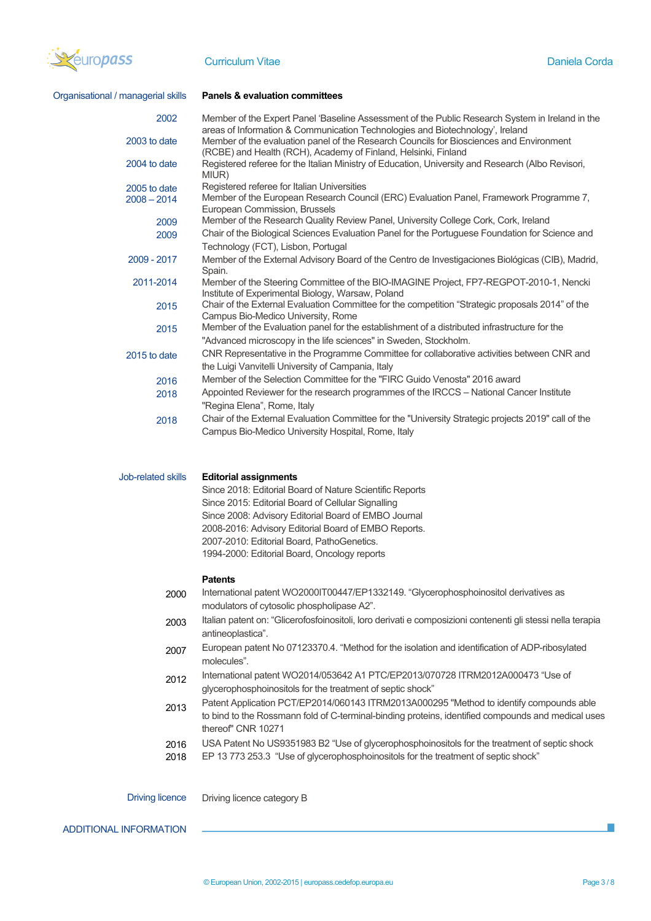

| Organisational / managerial skills | <b>Panels &amp; evaluation committees</b>                                                                                                                                                                                                                                   |
|------------------------------------|-----------------------------------------------------------------------------------------------------------------------------------------------------------------------------------------------------------------------------------------------------------------------------|
| 2002<br>2003 to date               | Member of the Expert Panel 'Baseline Assessment of the Public Research System in Ireland in the<br>areas of Information & Communication Technologies and Biotechnology', Ireland<br>Member of the evaluation panel of the Research Councils for Biosciences and Environment |
| 2004 to date                       | (RCBE) and Health (RCH), Academy of Finland, Helsinki, Finland<br>Registered referee for the Italian Ministry of Education, University and Research (Albo Revisori,                                                                                                         |
|                                    | MIUR)                                                                                                                                                                                                                                                                       |
| 2005 to date<br>$2008 - 2014$      | Registered referee for Italian Universities<br>Member of the European Research Council (ERC) Evaluation Panel, Framework Programme 7,<br>European Commission, Brussels                                                                                                      |
| 2009                               | Member of the Research Quality Review Panel, University College Cork, Cork, Ireland                                                                                                                                                                                         |
| 2009                               | Chair of the Biological Sciences Evaluation Panel for the Portuguese Foundation for Science and<br>Technology (FCT), Lisbon, Portugal                                                                                                                                       |
| 2009 - 2017                        | Member of the External Advisory Board of the Centro de Investigaciones Biológicas (CIB), Madrid,<br>Spain.                                                                                                                                                                  |
| 2011-2014                          | Member of the Steering Committee of the BIO-IMAGINE Project, FP7-REGPOT-2010-1, Nencki<br>Institute of Experimental Biology, Warsaw, Poland                                                                                                                                 |
| 2015                               | Chair of the External Evaluation Committee for the competition "Strategic proposals 2014" of the<br>Campus Bio-Medico University, Rome                                                                                                                                      |
| 2015                               | Member of the Evaluation panel for the establishment of a distributed infrastructure for the                                                                                                                                                                                |
|                                    | "Advanced microscopy in the life sciences" in Sweden, Stockholm.<br>CNR Representative in the Programme Committee for collaborative activities between CNR and                                                                                                              |
| 2015 to date                       | the Luigi Vanvitelli University of Campania, Italy                                                                                                                                                                                                                          |
| 2016                               | Member of the Selection Committee for the "FIRC Guido Venosta" 2016 award                                                                                                                                                                                                   |
| 2018                               | Appointed Reviewer for the research programmes of the IRCCS - National Cancer Institute<br>"Regina Elena", Rome, Italy                                                                                                                                                      |
| 2018                               | Chair of the External Evaluation Committee for the "University Strategic projects 2019" call of the                                                                                                                                                                         |
|                                    | Campus Bio-Medico University Hospital, Rome, Italy                                                                                                                                                                                                                          |
| Job-related skills                 | <b>Editorial assignments</b><br>Since 2018: Editorial Board of Nature Scientific Reports                                                                                                                                                                                    |
|                                    | Since 2015: Editorial Board of Cellular Signalling                                                                                                                                                                                                                          |
|                                    | Since 2008: Advisory Editorial Board of EMBO Journal                                                                                                                                                                                                                        |
|                                    | 2008-2016: Advisory Editorial Board of EMBO Reports.                                                                                                                                                                                                                        |
|                                    | 2007-2010: Editorial Board, PathoGenetics.<br>1994-2000: Editorial Board, Oncology reports                                                                                                                                                                                  |
|                                    |                                                                                                                                                                                                                                                                             |
|                                    | <b>Patents</b>                                                                                                                                                                                                                                                              |
| 2000                               | International patent WO2000IT00447/EP1332149. "Glycerophosphoinositol derivatives as<br>modulators of cytosolic phospholipase A2".                                                                                                                                          |
| 2003                               | Italian patent on: "Glicerofosfoinositoli, loro derivati e composizioni contenenti gli stessi nella terapia<br>antineoplastica".                                                                                                                                            |
| 2007                               | European patent No 07123370.4. "Method for the isolation and identification of ADP-ribosylated<br>molecules".                                                                                                                                                               |
| 2012                               | International patent WO2014/053642 A1 PTC/EP2013/070728 ITRM2012A000473 "Use of<br>glycerophosphoinositols for the treatment of septic shock"                                                                                                                               |
|                                    | Patent Application PCT/EP2014/060143 ITRM2013A000295 "Method to identify compounds able                                                                                                                                                                                     |
| 2013                               | to bind to the Rossmann fold of C-terminal-binding proteins, identified compounds and medical uses<br>thereof" CNR 10271                                                                                                                                                    |
| 2016<br>2018                       | USA Patent No US9351983 B2 "Use of glycerophosphoinositols for the treatment of septic shock<br>EP 13 773 253.3 "Use of glycerophosphoinositols for the treatment of septic shock"                                                                                          |
|                                    |                                                                                                                                                                                                                                                                             |
| <b>Driving licence</b>             | Driving licence category B                                                                                                                                                                                                                                                  |

ADDITIONAL INFORMATION

 $\mathcal{L}_{\mathcal{A}}$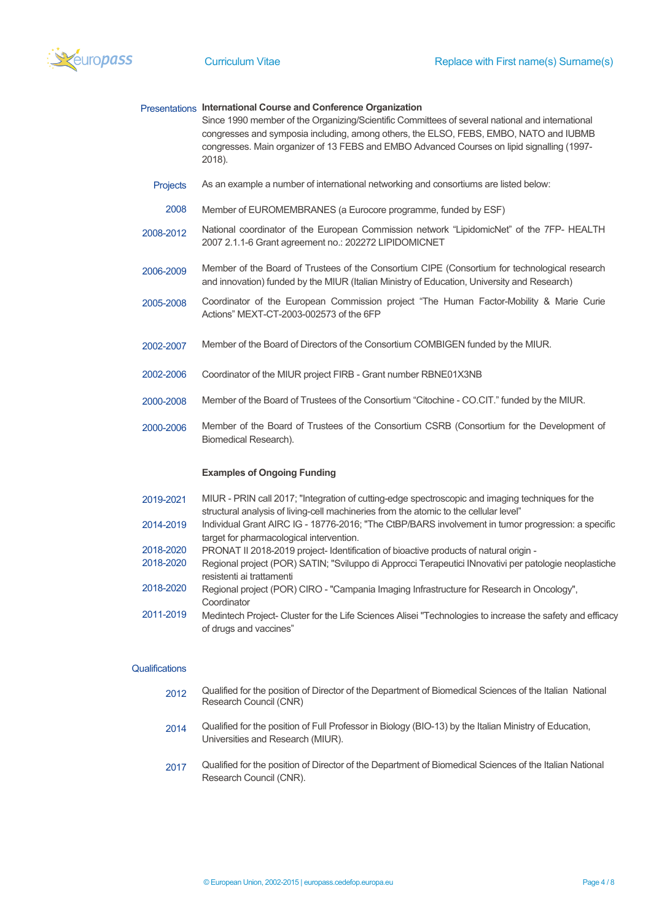

|           | Presentations International Course and Conference Organization<br>Since 1990 member of the Organizing/Scientific Committees of several national and international<br>congresses and symposia including, among others, the ELSO, FEBS, EMBO, NATO and IUBMB<br>congresses. Main organizer of 13 FEBS and EMBO Advanced Courses on lipid signalling (1997-<br>2018). |
|-----------|--------------------------------------------------------------------------------------------------------------------------------------------------------------------------------------------------------------------------------------------------------------------------------------------------------------------------------------------------------------------|
| Projects  | As an example a number of international networking and consortiums are listed below:                                                                                                                                                                                                                                                                               |
| 2008      | Member of EUROMEMBRANES (a Eurocore programme, funded by ESF)                                                                                                                                                                                                                                                                                                      |
| 2008-2012 | National coordinator of the European Commission network "LipidomicNet" of the 7FP- HEALTH<br>2007 2.1.1-6 Grant agreement no.: 202272 LIPIDOMICNET                                                                                                                                                                                                                 |
| 2006-2009 | Member of the Board of Trustees of the Consortium CIPE (Consortium for technological research<br>and innovation) funded by the MIUR (Italian Ministry of Education, University and Research)                                                                                                                                                                       |
| 2005-2008 | Coordinator of the European Commission project "The Human Factor-Mobility & Marie Curie<br>Actions" MEXT-CT-2003-002573 of the 6FP                                                                                                                                                                                                                                 |
| 2002-2007 | Member of the Board of Directors of the Consortium COMBIGEN funded by the MIUR.                                                                                                                                                                                                                                                                                    |
| 2002-2006 | Coordinator of the MIUR project FIRB - Grant number RBNE01X3NB                                                                                                                                                                                                                                                                                                     |
| 2000-2008 | Member of the Board of Trustees of the Consortium "Citochine - CO.CIT." funded by the MIUR.                                                                                                                                                                                                                                                                        |
| 2000-2006 | Member of the Board of Trustees of the Consortium CSRB (Consortium for the Development of<br>Biomedical Research).                                                                                                                                                                                                                                                 |
|           | <b>Examples of Ongoing Funding</b>                                                                                                                                                                                                                                                                                                                                 |
| 2019-2021 | MIUR - PRIN call 2017; "Integration of cutting-edge spectroscopic and imaging techniques for the<br>structural analysis of living-cell machineries from the atomic to the cellular level"                                                                                                                                                                          |
| 2014-2019 | Individual Grant AIRC IG - 18776-2016; "The CtBP/BARS involvement in tumor progression: a specific<br>target for pharmacological intervention.                                                                                                                                                                                                                     |
| 2018-2020 | PRONAT II 2018-2019 project- Identification of bioactive products of natural origin -                                                                                                                                                                                                                                                                              |
| 2018-2020 | Regional project (POR) SATIN; "Sviluppo di Approcci Terapeutici INnovativi per patologie neoplastiche<br>resistenti ai trattamenti                                                                                                                                                                                                                                 |

- 2018-2020 Regional project (POR) CIRO - "Campania Imaging Infrastructure for Research in Oncology", Coordinator
- 2011-2019 Medintech Project- Cluster for the Life Sciences Alisei "Technologies to increase the safety and efficacy of drugs and vaccines"

## **Qualifications**

- 2012 Qualified for the position of Director of the Department of Biomedical Sciences of the Italian National Research Council (CNR)
- 2014 Qualified for the position of Full Professor in Biology (BIO-13) by the Italian Ministry of Education, Universities and Research (MIUR).
- 2017 Qualified for the position of Director of the Department of Biomedical Sciences of the Italian National Research Council (CNR).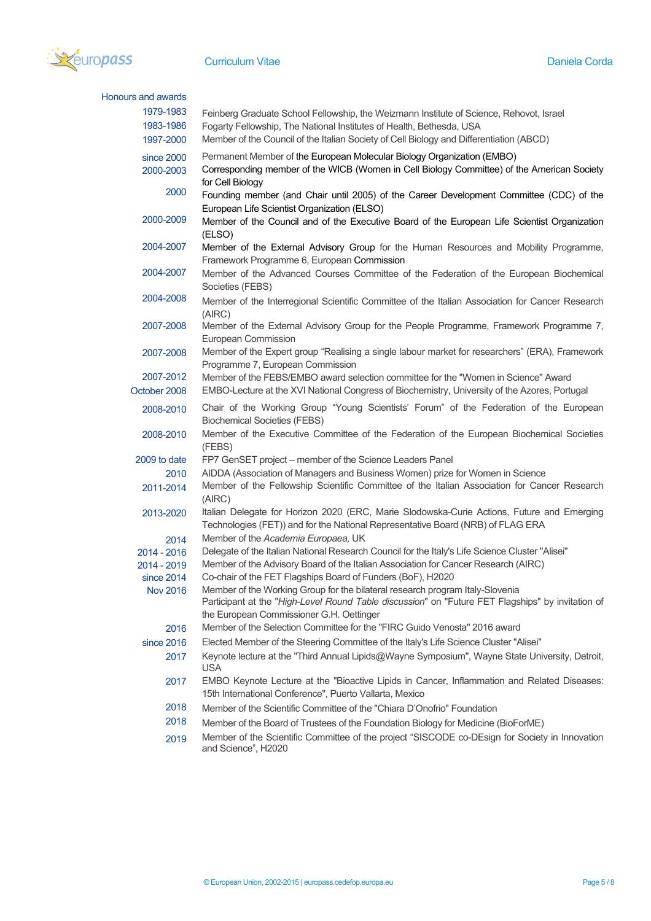

| Honours and awards            |                                                                                                                                                                               |
|-------------------------------|-------------------------------------------------------------------------------------------------------------------------------------------------------------------------------|
| 1979-1983                     | Feinberg Graduate School Fellowship, the Weizmann Institute of Science, Rehovot, Israel                                                                                       |
| 1983-1986                     | Fogarty Fellowship, The National Institutes of Health, Bethesda, USA                                                                                                          |
| 1997-2000                     | Member of the Council of the Italian Society of Cell Biology and Differentiation (ABCD)                                                                                       |
| since 2000                    | Permanent Member of the European Molecular Biology Organization (EMBO)                                                                                                        |
| 2000-2003                     | Corresponding member of the WICB (Women in Cell Biology Committee) of the American Society<br>for Cell Biology                                                                |
| 2000                          | Founding member (and Chair until 2005) of the Career Development Committee (CDC) of the                                                                                       |
| 2000-2009                     | European Life Scientist Organization (ELSO)<br>Member of the Council and of the Executive Board of the European Life Scientist Organization<br>(ELSO)                         |
| 2004-2007                     | Member of the External Advisory Group for the Human Resources and Mobility Programme,<br>Framework Programme 6, European Commission                                           |
| 2004-2007                     | Member of the Advanced Courses Committee of the Federation of the European Biochemical<br>Societies (FEBS)                                                                    |
| 2004-2008                     | Member of the Interregional Scientific Committee of the Italian Association for Cancer Research<br>(AIRC)                                                                     |
| 2007-2008                     | Member of the External Advisory Group for the People Programme, Framework Programme 7,<br>European Commission                                                                 |
| 2007-2008                     | Member of the Expert group "Realising a single labour market for researchers" (ERA), Framework<br>Programme 7, European Commission                                            |
| 2007-2012                     | Member of the FEBS/EMBO award selection committee for the "Women in Science" Award                                                                                            |
| October 2008                  | EMBO-Lecture at the XVI National Congress of Biochemistry, University of the Azores, Portugal                                                                                 |
| 2008-2010                     | Chair of the Working Group "Young Scientists' Forum" of the Federation of the European<br><b>Biochemical Societies (FEBS)</b>                                                 |
| 2008-2010                     | Member of the Executive Committee of the Federation of the European Biochemical Societies<br>(FEBS)                                                                           |
| 2009 to date                  | FP7 GenSET project – member of the Science Leaders Panel                                                                                                                      |
| 2010                          | AIDDA (Association of Managers and Business Women) prize for Women in Science                                                                                                 |
| 2011-2014                     | Member of the Fellowship Scientific Committee of the Italian Association for Cancer Research<br>(AIRC)                                                                        |
| 2013-2020                     | Italian Delegate for Horizon 2020 (ERC, Marie Slodowska-Curie Actions, Future and Emerging<br>Technologies (FET)) and for the National Representative Board (NRB) of FLAG ERA |
| 2014                          | Member of the Academia Europaea, UK                                                                                                                                           |
| 2014 - 2016                   | Delegate of the Italian National Research Council for the Italy's Life Science Cluster "Alisei"                                                                               |
| 2014 - 2019                   | Member of the Advisory Board of the Italian Association for Cancer Research (AIRC)<br>Co-chair of the FET Flagships Board of Funders (BoF), H2020                             |
| since 2014<br><b>Nov 2016</b> | Member of the Working Group for the bilateral research program Italy-Slovenia                                                                                                 |
|                               | Participant at the "High-Level Round Table discussion" on "Future FET Flagships" by invitation of                                                                             |
| 2016                          | the European Commissioner G.H. Oettinger<br>Member of the Selection Committee for the "FIRC Guido Venosta" 2016 award                                                         |
| since 2016                    | Elected Member of the Steering Committee of the Italy's Life Science Cluster "Alisei"                                                                                         |
| 2017                          | Keynote lecture at the "Third Annual Lipids@Wayne Symposium", Wayne State University, Detroit,                                                                                |
|                               | <b>USA</b>                                                                                                                                                                    |
| 2017                          | EMBO Keynote Lecture at the "Bioactive Lipids in Cancer, Inflammation and Related Diseases:<br>15th International Conference", Puerto Vallarta, Mexico                        |
| 2018                          | Member of the Scientific Committee of the "Chiara D'Onofrio" Foundation                                                                                                       |
| 2018                          | Member of the Board of Trustees of the Foundation Biology for Medicine (BioForME)                                                                                             |
| 2019                          | Member of the Scientific Committee of the project "SISCODE co-DEsign for Society in Innovation<br>and Science", H2020                                                         |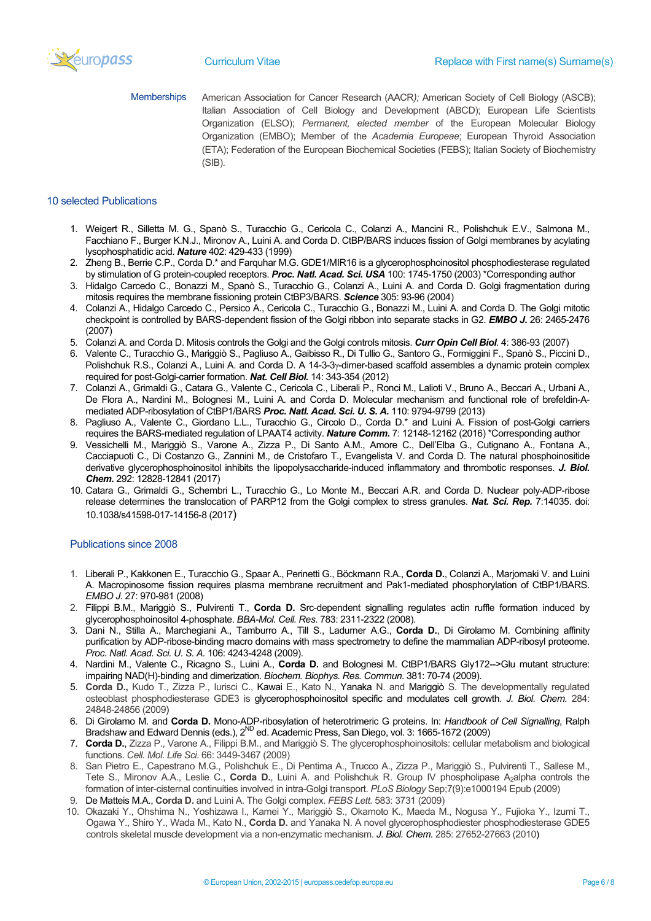

Memberships American Association for Cancer Research (AACR*);* American Society of Cell Biology (ASCB); Italian Association of Cell Biology and Development (ABCD); European Life Scientists Organization (ELSO); *Permanent, elected member* of the European Molecular Biology Organization (EMBO); Member of the *Academia Europeae*; European Thyroid Association (ETA); Federation of the European Biochemical Societies (FEBS); Italian Society of Biochemistry (SIB).

## 10 selected Publications

- 1. Weigert R., Silletta M. G., Spanò S., Turacchio G., Cericola C., Colanzi A., Mancini R., Polishchuk E.V., Salmona M., Facchiano F., Burger K.N.J., Mironov A., Luini A. and Corda D. CtBP/BARS induces fission of Golgi membranes by acylating lysophosphatidic acid. *Nature* 402: 429-433 (1999)
- 2. Zheng B., Berrie C.P., Corda D.\* and Farquhar M.G. GDE1/MIR16 is a glycerophosphoinositol phosphodiesterase regulated by stimulation of G protein-coupled receptors. *Proc. Natl. Acad. Sci. USA* 100: 1745-1750 (2003) \*Corresponding author
- 3. Hidalgo Carcedo C., Bonazzi M., Spanò S., Turacchio G., Colanzi A., Luini A. and Corda D. Golgi fragmentation during mitosis requires the membrane fissioning protein CtBP3/BARS. *Science* 305: 93-96 (2004)
- 4. Colanzi A., Hidalgo Carcedo C., Persico A., Cericola C., Turacchio G., Bonazzi M., Luini A. and Corda D. The Golgi mitotic checkpoint is controlled by BARS-dependent fission of the Golgi ribbon into separate stacks in G2. *EMBO J.* 26: 2465-2476 (2007)
- 5. Colanzi A. and Corda D. Mitosis controls the Golgi and the Golgi controls mitosis. *Curr Opin Cell Biol.* 4: 386-93 (2007)
- 6. Valente C., Turacchio G., Mariggiò S., Pagliuso A., Gaibisso R., Di Tullio G., Santoro G., Formiggini F., Spanò S., Piccini D., Polishchuk R.S., Colanzi A., Luini A. and Corda D. A 14-3-3γ-dimer-based scaffold assembles a dynamic protein complex required for post-Golgi-carrier formation. *Nat. Cell Biol.* 14: 343-354 (2012)
- 7. Colanzi A., Grimaldi G., Catara G., Valente C., Cericola C., Liberali P., Ronci M., Lalioti V., Bruno A., Beccari A., Urbani A., De Flora A., Nardini M., Bolognesi M., Luini A. and Corda D. Molecular mechanism and functional role of brefeldin-Amediated ADP-ribosylation of CtBP1/BARS *Proc. Natl. Acad. Sci. U. S. A.* 110: 9794-9799 (2013)
- 8. Pagliuso A., Valente C., Giordano L.L., Turacchio G., Circolo D., Corda D.\* and Luini A. Fission of post-Golgi carriers requires the BARS-mediated regulation of LPAAT4 activity. *Nature Comm.* 7: 12148-12162 (2016) \*Corresponding author
- 9. Vessichelli M., Mariggiò S., Varone A., Zizza P., Di Santo A.M., Amore C., Dell'Elba G., Cutignano A., Fontana A., Cacciapuoti C., Di Costanzo G., Zannini M., de Cristofaro T., Evangelista V. and Corda D. The natural phosphoinositide derivative glycerophosphoinositol inhibits the lipopolysaccharide-induced inflammatory and thrombotic responses. *J. Biol. Chem.* 292: 12828-12841 (2017)
- 10. Catara G., Grimaldi G., Schembri L., Turacchio G., Lo Monte M., Beccari A.R. and Corda D. Nuclear poly-ADP-ribose release determines the translocation of PARP12 from the Golgi complex to stress granules. *Nat. Sci. Rep.* 7:14035. doi: 10.1038/s41598-017-14156-8 (2017)

## Publications since 2008

- 1. Liberali P., Kakkonen E., Turacchio G., Spaar A., Perinetti G., Böckmann R.A., **Corda D.**, Colanzi A., Marjomaki V. and Luini A. Macropinosome fission requires plasma membrane recruitment and Pak1-mediated phosphorylation of CtBP1/BARS. *EMBO J.* 27: 970-981 (2008)
- 2. Filippi B.M., Mariggiò S., Pulvirenti T., **Corda D.** Src-dependent signalling regulates actin ruffle formation induced by glycerophosphoinositol 4-phosphate. *BBA-Mol. Cell. Res*. 783: 2311-2322 (2008).
- 3. Dani N., Stilla A., Marchegiani A., Tamburro A., Till S., Ladurner A.G., **Corda D.**, Di Girolamo M. Combining affinity purification by ADP-ribose-binding macro domains with mass spectrometry to define the mammalian ADP-ribosyl proteome. *Proc. Natl. Acad. Sci. U. S. A.* 106: 4243-4248 (2009).
- 4. Nardini M., Valente C., Ricagno S., Luini A., **Corda D.** and Bolognesi M. CtBP1/BARS Gly172-->Glu mutant structure: impairing NAD(H)-binding and dimerization. *Biochem. Biophys. Res. Commun.* 381: 70-74 (2009).
- 5. **Corda D.,** Kudo T., Zizza P., Iurisci C., Kawai E., Kato N., Yanaka N. and Mariggiò S. The developmentally regulated osteoblast phosphodiesterase GDE3 is glycerophosphoinositol specific and modulates cell growth. *J. Biol. Chem.* 284: 24848-24856 (2009)
- 6. Di Girolamo M. and **Corda D.** Mono-ADP-ribosylation of heterotrimeric G proteins. In: *Handbook of Cell Signalling*, Ralph Bradshaw and Edward Dennis (eds.), 2<sup>ND</sup> ed. Academic Press, San Diego, vol. 3: 1665-1672 (2009)
- 7. **Corda D.**, Zizza P., Varone A., Filippi B.M., and Mariggiò S. The glycerophosphoinositols: cellular metabolism and biological functions. *Cell. Mol. Life Sci*. 66: 3449-3467 (2009)
- 8. San Pietro E., Capestrano M.G., Polishchuk E., Di Pentima A., Trucco A., Zizza P., Mariggiò S., Pulvirenti T., Sallese M., Tete S., Mironov A.A., Leslie C., **Corda D.**, Luini A. and Polishchuk R. Group IV phospholipase A2alpha controls the formation of inter-cisternal continuities involved in intra-Golgi transport. *PLoS Biology* Sep;7(9):e1000194 Epub (2009)
- 9. De Matteis M.A., **Corda D.** and Luini A. The Golgi complex. *FEBS Lett.* 583: 3731 (2009)
- 10. Okazaki Y., Ohshima N., Yoshizawa I., Kamei Y., Mariggiò S., Okamoto K., Maeda M., Nogusa Y., Fujioka Y., Izumi T., Ogawa Y., Shiro Y., Wada M., Kato N., **Corda D.** and Yanaka N. A novel glycerophosphodiester phosphodiesterase GDE5 controls skeletal muscle development via a non-enzymatic mechanism. *J. Biol. Chem.* 285: 27652-27663 (2010)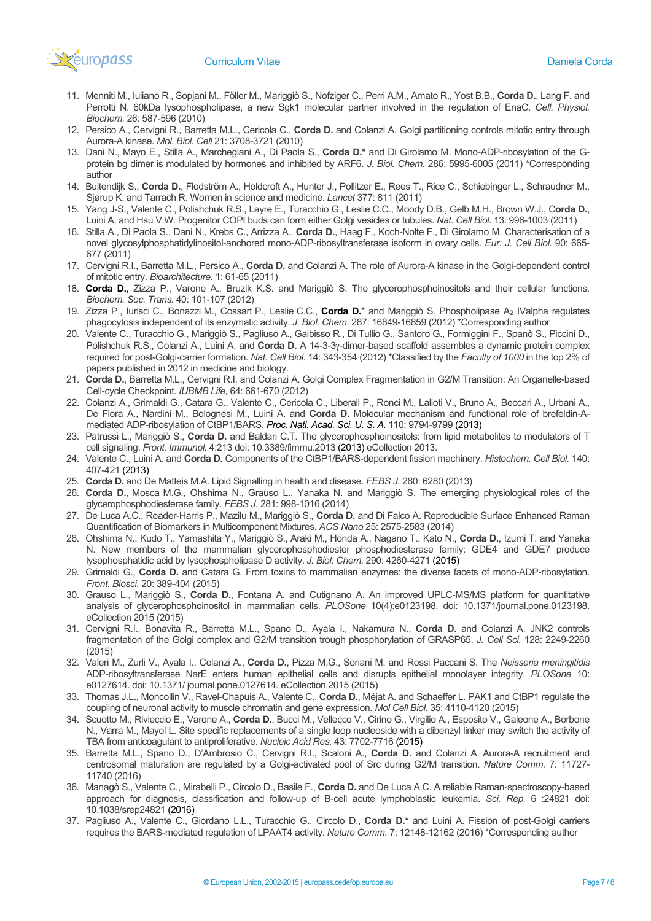

- 11. Menniti M., Iuliano R., Sopjani M., Föller M., Mariggiò S., Nofziger C., Perri A.M., Amato R., Yost B.B., **Corda D.**, Lang F. and Perrotti N. 60kDa lysophospholipase, a new Sgk1 molecular partner involved in the regulation of EnaC. *Cell. Physiol. Biochem.* 26: 587-596 (2010)
- 12. Persico A., Cervigni R., Barretta M.L., Cericola C., **Corda D.** and Colanzi A. Golgi partitioning controls mitotic entry through Aurora-A kinase. *Mol. Biol. Cell* 21: 3708-3721 (2010)
- 13. Dani N., Mayo E., Stilla A., Marchegiani A., Di Paola S., **Corda D.\*** and Di Girolamo M. Mono-ADP-ribosylation of the Gprotein bg dimer is modulated by hormones and inhibited by ARF6. *J. Biol. Chem.* 286: 5995-6005 (2011) \*Corresponding author
- 14. Buitendijk S., **Corda D.**, Flodström A., Holdcroft A., Hunter J., Pollitzer E., Rees T., Rice C., Schiebinger L., Schraudner M., Sjørup K. and Tarrach R. Women in science and medicine. *Lancet* 377: 811 (2011)
- 15. Yang J-S., Valente C., Polishchuk R.S., Layre E., Turacchio G., Leslie C.C., Moody D.B., Gelb M.H., Brown W.J., C**orda D.**, Luini A. and Hsu V.W. Progenitor COPI buds can form either Golgi vesicles or tubules. *Nat. Cell Biol*. 13: 996-1003 (2011)
- 16. Stilla A., Di Paola S., Dani N., Krebs C., Arrizza A., **Corda D.**, Haag F., Koch-Nolte F., Di Girolamo M. Characterisation of a novel glycosylphosphatidylinositol-anchored mono-ADP-ribosyltransferase isoform in ovary cells. *Eur. J. Cell Biol.* 90: 665- 677 (2011)
- 17. Cervigni R.I., Barretta M.L., Persico A., **Corda D.** and Colanzi A. The role of Aurora-A kinase in the Golgi-dependent control of mitotic entry. *Bioarchitecture*. 1: 61-65 (2011)
- 18. **Corda D.**, Zizza P., Varone A., Bruzik K.S. and Mariggiò S. The glycerophosphoinositols and their cellular functions. *Biochem. Soc. Trans.* 40: 101-107 (2012)
- 19. Zizza P., Iurisci C., Bonazzi M., Cossart P., Leslie C.C., **Corda D.**\* and Mariggiò S. Phospholipase A2 IValpha regulates phagocytosis independent of its enzymatic activity. *J. Biol. Chem.* 287: 16849-16859 (2012) \*Corresponding author
- 20. Valente C., Turacchio G., Mariggiò S., Pagliuso A., Gaibisso R., Di Tullio G., Santoro G., Formiggini F., Spanò S., Piccini D., Polishchuk R.S., Colanzi A., Luini A. and **Corda D.** A 14-3-3γ-dimer-based scaffold assembles a dynamic protein complex required for post-Golgi-carrier formation. *Nat. Cell Biol*. 14: 343-354 (2012) \*Classified by the *Faculty of 1000* in the top 2% of papers published in 2012 in medicine and biology.
- 21. **Corda D.**, Barretta M.L., Cervigni R.I. and Colanzi A. Golgi Complex Fragmentation in G2/M Transition: An Organelle-based Cell-cycle Checkpoint. *IUBMB Life,* 64: 661-670 (2012)
- 22. Colanzi A., Grimaldi G., Catara G., Valente C., Cericola C., Liberali P., Ronci M., Lalioti V., Bruno A., Beccari A., Urbani A., De Flora A., Nardini M., Bolognesi M., Luini A. and **Corda D.** Molecular mechanism and functional role of brefeldin-Amediated ADP-ribosylation of CtBP1/BARS. *Proc. Natl. Acad. Sci. U. S. A.* 110: 9794-9799 (2013)
- 23. Patrussi L., Mariggiò S., **Corda D.** and Baldari C.T. The glycerophosphoinositols: from lipid metabolites to modulators of T cell signaling. *Front. Immunol.* 4:213 doi: 10.3389/fimmu.2013 (2013) eCollection 2013.
- 24. Valente C., Luini A. and **Corda D.** Components of the CtBP1/BARS-dependent fission machinery. *Histochem. Cell Biol.* 140: 407-421 (2013)
- 25. **Corda D.** and De Matteis M.A. Lipid Signalling in health and disease. *FEBS J.* 280: 6280 (2013)
- 26. **Corda D.**, Mosca M.G., Ohshima N., Grauso L., Yanaka N. and Mariggiò S. The emerging physiological roles of the glycerophosphodiesterase family. *FEBS J.* 281: 998-1016 (2014)
- 27. De Luca A.C., Reader-Harris P., Mazilu M., Mariggiò S., **Corda D.** and Di Falco A. Reproducible Surface Enhanced Raman Quantification of Biomarkers in Multicomponent Mixtures. *ACS Nano* 25: 2575-2583 (2014)
- 28. Ohshima N., Kudo T., Yamashita Y., Mariggiò S., Araki M., Honda A., Nagano T., Kato N., **Corda D.**, Izumi T. and Yanaka N. New members of the mammalian glycerophosphodiester phosphodiesterase family: GDE4 and GDE7 produce lysophosphatidic acid by lysophospholipase D activity. *J. Biol. Chem.* 290: 4260-4271 (2015)
- 29. Grimaldi G., **Corda D.** and Catara G. From toxins to mammalian enzymes: the diverse facets of mono-ADP-ribosylation. *Front. Biosci.* 20: 389-404 (2015)
- 30. Grauso L., Mariggiò S., **Corda D.**, Fontana A. and Cutignano A. An improved UPLC-MS/MS platform for quantitative analysis of glycerophosphoinositol in mammalian cells. *PLOSone* 10(4):e0123198. doi: 10.1371/journal.pone.0123198. eCollection 2015 (2015)
- 31. Cervigni R.I., Bonavita R., Barretta M.L., Spano D., Ayala I., Nakamura N., **Corda D.** and Colanzi A. JNK2 controls fragmentation of the Golgi complex and G2/M transition trough phosphorylation of GRASP65. *J. Cell Sci.* 128: 2249-2260 (2015)
- 32. Valeri M., Zurli V., Ayala I., Colanzi A., **Corda D.**, Pizza M.G., Soriani M. and Rossi Paccani S. The *Neisseria meningitidis* ADP-ribosyltransferase NarE enters human epithelial cells and disrupts epithelial monolayer integrity. *PLOSone* 10: e0127614. doi: 10.1371/ journal.pone.0127614. eCollection 2015 (2015)
- 33. Thomas J.L., Moncollin V., Ravel-Chapuis A., Valente C., **Corda D.**, Méjat A. and Schaeffer L. PAK1 and CtBP1 regulate the coupling of neuronal activity to muscle chromatin and gene expression. *Mol Cell Biol.* 35: 4110-4120 (2015)
- 34. Scuotto M., Rivieccio E., Varone A., **Corda D.**, Bucci M., Vellecco V., Cirino G., Virgilio A., Esposito V., Galeone A., Borbone N., Varra M., Mayol L. Site specific replacements of a single loop nucleoside with a dibenzyl linker may switch the activity of TBA from anticoagulant to antiproliferative. *Nucleic Acid Res.* 43: 7702-7716 (2015)
- 35. Barretta M.L., Spano D., D'Ambrosio C., Cervigni R.I., Scaloni A., **Corda D.** and Colanzi A. Aurora-A recruitment and centrosomal maturation are regulated by a Golgi-activated pool of Src during G2/M transition. *Nature Comm.* 7: 11727- 11740 (2016)
- 36. Managò S., Valente C., Mirabelli P., Circolo D., Basile F., **Corda D.** and De Luca A.C. A reliable Raman-spectroscopy-based approach for diagnosis, classification and follow-up of B-cell acute lymphoblastic leukemia. *Sci. Rep.* 6 :24821 doi: 10.1038/srep24821 (2016)
- 37. Pagliuso A., Valente C., Giordano L.L., Turacchio G., Circolo D., **Corda D.\*** and Luini A. Fission of post-Golgi carriers requires the BARS-mediated regulation of LPAAT4 activity. *Nature Comm.* 7: 12148-12162 (2016) \*Corresponding author